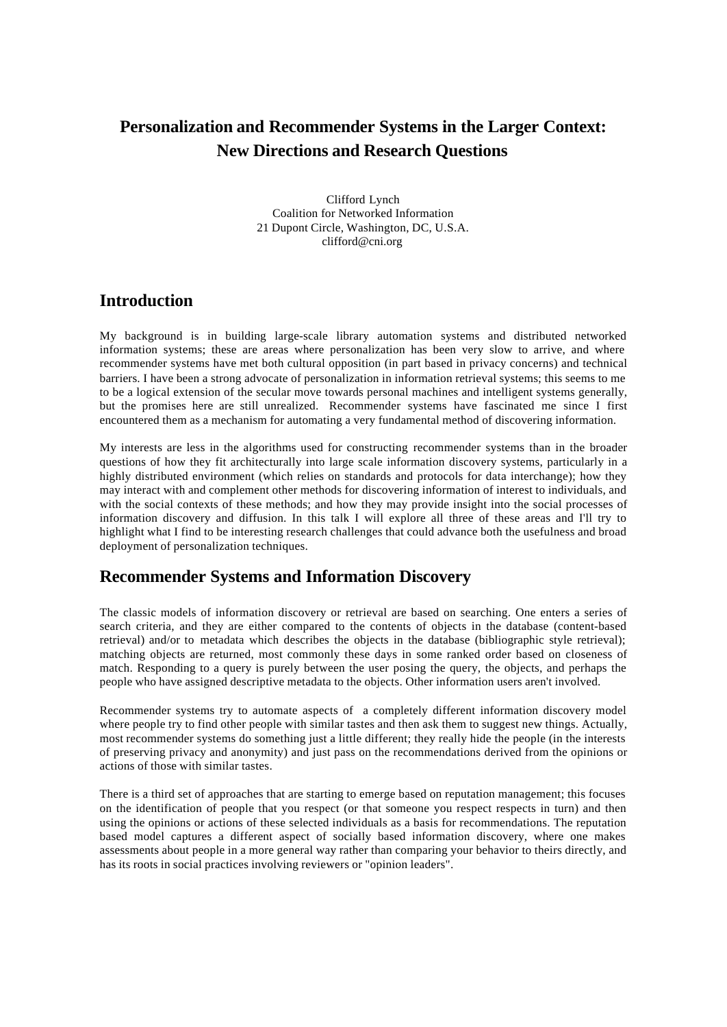# **Personalization and Recommender Systems in the Larger Context: New Directions and Research Questions**

Clifford Lynch Coalition for Networked Information 21 Dupont Circle, Washington, DC, U.S.A. clifford@cni.org

### **Introduction**

My background is in building large-scale library automation systems and distributed networked information systems; these are areas where personalization has been very slow to arrive, and where recommender systems have met both cultural opposition (in part based in privacy concerns) and technical barriers. I have been a strong advocate of personalization in information retrieval systems; this seems to me to be a logical extension of the secular move towards personal machines and intelligent systems generally, but the promises here are still unrealized. Recommender systems have fascinated me since I first encountered them as a mechanism for automating a very fundamental method of discovering information.

My interests are less in the algorithms used for constructing recommender systems than in the broader questions of how they fit architecturally into large scale information discovery systems, particularly in a highly distributed environment (which relies on standards and protocols for data interchange); how they may interact with and complement other methods for discovering information of interest to individuals, and with the social contexts of these methods; and how they may provide insight into the social processes of information discovery and diffusion. In this talk I will explore all three of these areas and I'll try to highlight what I find to be interesting research challenges that could advance both the usefulness and broad deployment of personalization techniques.

## **Recommender Systems and Information Discovery**

The classic models of information discovery or retrieval are based on searching. One enters a series of search criteria, and they are either compared to the contents of objects in the database (content-based retrieval) and/or to metadata which describes the objects in the database (bibliographic style retrieval); matching objects are returned, most commonly these days in some ranked order based on closeness of match. Responding to a query is purely between the user posing the query, the objects, and perhaps the people who have assigned descriptive metadata to the objects. Other information users aren't involved.

Recommender systems try to automate aspects of a completely different information discovery model where people try to find other people with similar tastes and then ask them to suggest new things. Actually, most recommender systems do something just a little different; they really hide the people (in the interests of preserving privacy and anonymity) and just pass on the recommendations derived from the opinions or actions of those with similar tastes.

There is a third set of approaches that are starting to emerge based on reputation management; this focuses on the identification of people that you respect (or that someone you respect respects in turn) and then using the opinions or actions of these selected individuals as a basis for recommendations. The reputation based model captures a different aspect of socially based information discovery, where one makes assessments about people in a more general way rather than comparing your behavior to theirs directly, and has its roots in social practices involving reviewers or "opinion leaders".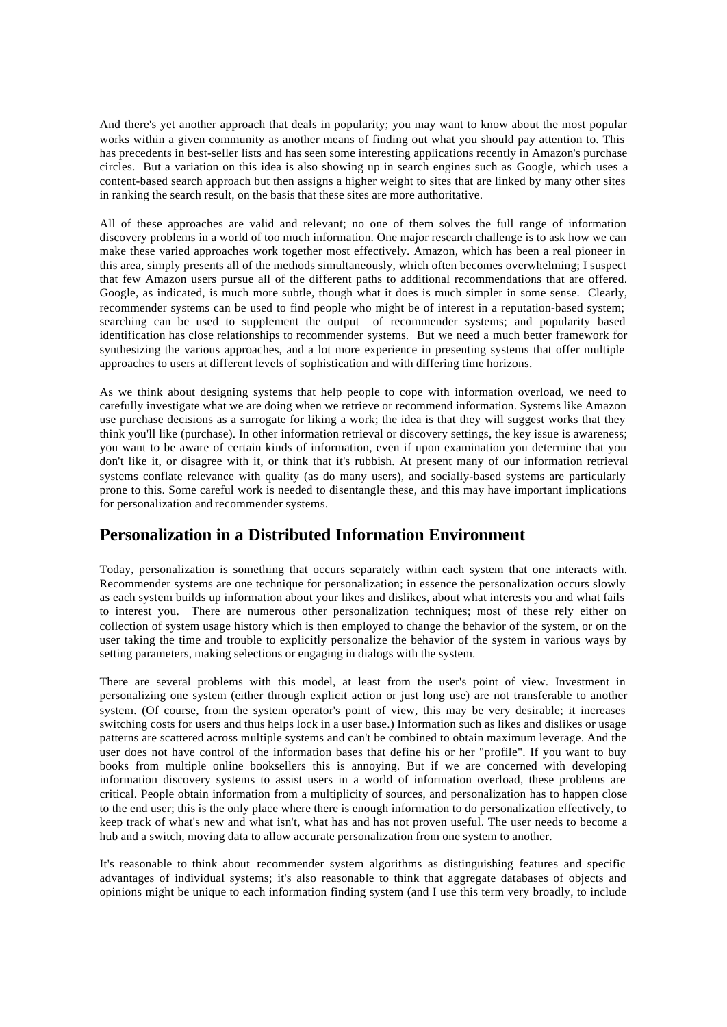And there's yet another approach that deals in popularity; you may want to know about the most popular works within a given community as another means of finding out what you should pay attention to. This has precedents in best-seller lists and has seen some interesting applications recently in Amazon's purchase circles. But a variation on this idea is also showing up in search engines such as Google, which uses a content-based search approach but then assigns a higher weight to sites that are linked by many other sites in ranking the search result, on the basis that these sites are more authoritative.

All of these approaches are valid and relevant; no one of them solves the full range of information discovery problems in a world of too much information. One major research challenge is to ask how we can make these varied approaches work together most effectively. Amazon, which has been a real pioneer in this area, simply presents all of the methods simultaneously, which often becomes overwhelming; I suspect that few Amazon users pursue all of the different paths to additional recommendations that are offered. Google, as indicated, is much more subtle, though what it does is much simpler in some sense. Clearly, recommender systems can be used to find people who might be of interest in a reputation-based system; searching can be used to supplement the output of recommender systems; and popularity based identification has close relationships to recommender systems. But we need a much better framework for synthesizing the various approaches, and a lot more experience in presenting systems that offer multiple approaches to users at different levels of sophistication and with differing time horizons.

As we think about designing systems that help people to cope with information overload, we need to carefully investigate what we are doing when we retrieve or recommend information. Systems like Amazon use purchase decisions as a surrogate for liking a work; the idea is that they will suggest works that they think you'll like (purchase). In other information retrieval or discovery settings, the key issue is awareness; you want to be aware of certain kinds of information, even if upon examination you determine that you don't like it, or disagree with it, or think that it's rubbish. At present many of our information retrieval systems conflate relevance with quality (as do many users), and socially-based systems are particularly prone to this. Some careful work is needed to disentangle these, and this may have important implications for personalization and recommender systems.

## **Personalization in a Distributed Information Environment**

Today, personalization is something that occurs separately within each system that one interacts with. Recommender systems are one technique for personalization; in essence the personalization occurs slowly as each system builds up information about your likes and dislikes, about what interests you and what fails to interest you. There are numerous other personalization techniques; most of these rely either on collection of system usage history which is then employed to change the behavior of the system, or on the user taking the time and trouble to explicitly personalize the behavior of the system in various ways by setting parameters, making selections or engaging in dialogs with the system.

There are several problems with this model, at least from the user's point of view. Investment in personalizing one system (either through explicit action or just long use) are not transferable to another system. (Of course, from the system operator's point of view, this may be very desirable; it increases switching costs for users and thus helps lock in a user base.) Information such as likes and dislikes or usage patterns are scattered across multiple systems and can't be combined to obtain maximum leverage. And the user does not have control of the information bases that define his or her "profile". If you want to buy books from multiple online booksellers this is annoying. But if we are concerned with developing information discovery systems to assist users in a world of information overload, these problems are critical. People obtain information from a multiplicity of sources, and personalization has to happen close to the end user; this is the only place where there is enough information to do personalization effectively, to keep track of what's new and what isn't, what has and has not proven useful. The user needs to become a hub and a switch, moving data to allow accurate personalization from one system to another.

It's reasonable to think about recommender system algorithms as distinguishing features and specific advantages of individual systems; it's also reasonable to think that aggregate databases of objects and opinions might be unique to each information finding system (and I use this term very broadly, to include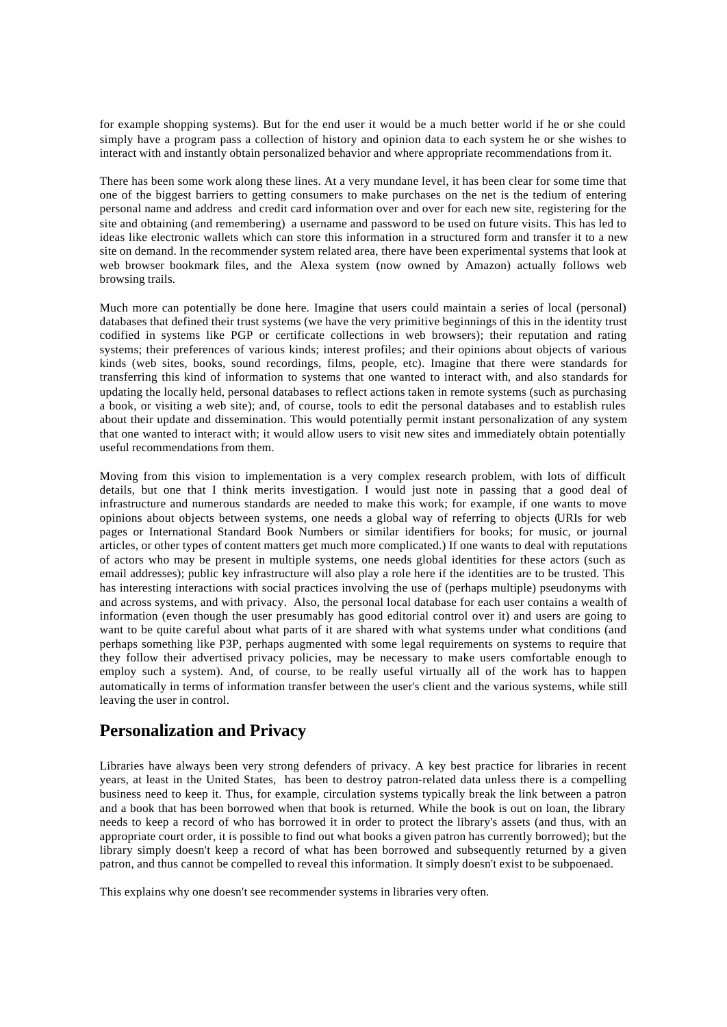for example shopping systems). But for the end user it would be a much better world if he or she could simply have a program pass a collection of history and opinion data to each system he or she wishes to interact with and instantly obtain personalized behavior and where appropriate recommendations from it.

There has been some work along these lines. At a very mundane level, it has been clear for some time that one of the biggest barriers to getting consumers to make purchases on the net is the tedium of entering personal name and address and credit card information over and over for each new site, registering for the site and obtaining (and remembering) a username and password to be used on future visits. This has led to ideas like electronic wallets which can store this information in a structured form and transfer it to a new site on demand. In the recommender system related area, there have been experimental systems that look at web browser bookmark files, and the Alexa system (now owned by Amazon) actually follows web browsing trails.

Much more can potentially be done here. Imagine that users could maintain a series of local (personal) databases that defined their trust systems (we have the very primitive beginnings of this in the identity trust codified in systems like PGP or certificate collections in web browsers); their reputation and rating systems; their preferences of various kinds; interest profiles; and their opinions about objects of various kinds (web sites, books, sound recordings, films, people, etc). Imagine that there were standards for transferring this kind of information to systems that one wanted to interact with, and also standards for updating the locally held, personal databases to reflect actions taken in remote systems (such as purchasing a book, or visiting a web site); and, of course, tools to edit the personal databases and to establish rules about their update and dissemination. This would potentially permit instant personalization of any system that one wanted to interact with; it would allow users to visit new sites and immediately obtain potentially useful recommendations from them.

Moving from this vision to implementation is a very complex research problem, with lots of difficult details, but one that I think merits investigation. I would just note in passing that a good deal of infrastructure and numerous standards are needed to make this work; for example, if one wants to move opinions about objects between systems, one needs a global way of referring to objects (URIs for web pages or International Standard Book Numbers or similar identifiers for books; for music, or journal articles, or other types of content matters get much more complicated.) If one wants to deal with reputations of actors who may be present in multiple systems, one needs global identities for these actors (such as email addresses); public key infrastructure will also play a role here if the identities are to be trusted. This has interesting interactions with social practices involving the use of (perhaps multiple) pseudonyms with and across systems, and with privacy. Also, the personal local database for each user contains a wealth of information (even though the user presumably has good editorial control over it) and users are going to want to be quite careful about what parts of it are shared with what systems under what conditions (and perhaps something like P3P, perhaps augmented with some legal requirements on systems to require that they follow their advertised privacy policies, may be necessary to make users comfortable enough to employ such a system). And, of course, to be really useful virtually all of the work has to happen automatically in terms of information transfer between the user's client and the various systems, while still leaving the user in control.

## **Personalization and Privacy**

Libraries have always been very strong defenders of privacy. A key best practice for libraries in recent years, at least in the United States, has been to destroy patron-related data unless there is a compelling business need to keep it. Thus, for example, circulation systems typically break the link between a patron and a book that has been borrowed when that book is returned. While the book is out on loan, the library needs to keep a record of who has borrowed it in order to protect the library's assets (and thus, with an appropriate court order, it is possible to find out what books a given patron has currently borrowed); but the library simply doesn't keep a record of what has been borrowed and subsequently returned by a given patron, and thus cannot be compelled to reveal this information. It simply doesn't exist to be subpoenaed.

This explains why one doesn't see recommender systems in libraries very often.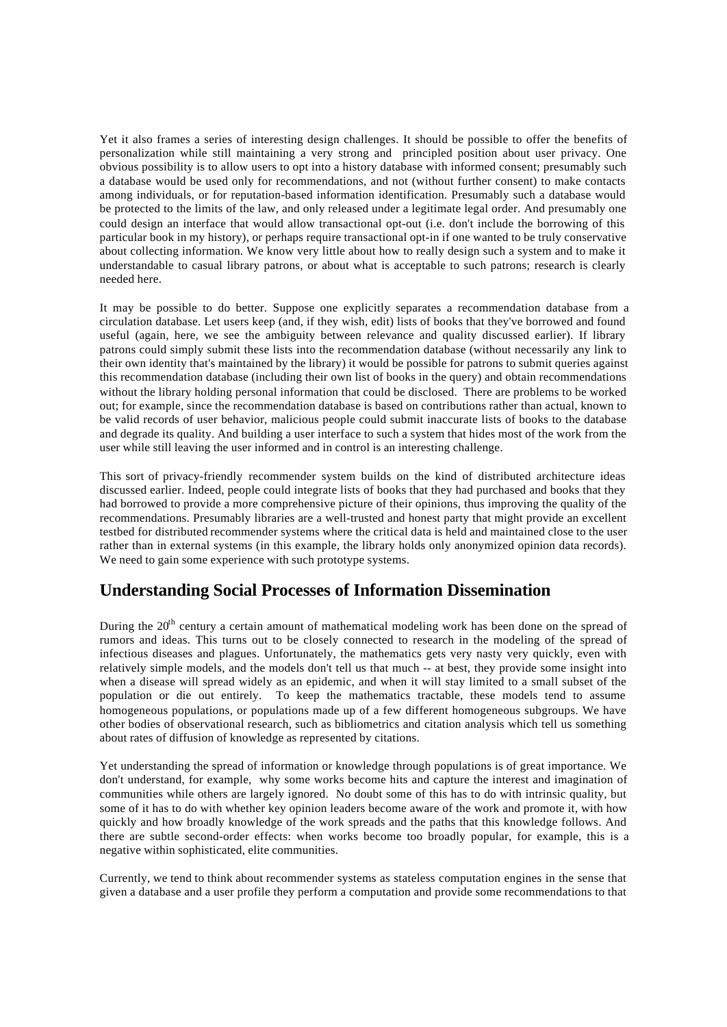Yet it also frames a series of interesting design challenges. It should be possible to offer the benefits of personalization while still maintaining a very strong and principled position about user privacy. One obvious possibility is to allow users to opt into a history database with informed consent; presumably such a database would be used only for recommendations, and not (without further consent) to make contacts among individuals, or for reputation-based information identification. Presumably such a database would be protected to the limits of the law, and only released under a legitimate legal order. And presumably one could design an interface that would allow transactional opt-out (i.e. don't include the borrowing of this particular book in my history), or perhaps require transactional opt-in if one wanted to be truly conservative about collecting information. We know very little about how to really design such a system and to make it understandable to casual library patrons, or about what is acceptable to such patrons; research is clearly needed here.

It may be possible to do better. Suppose one explicitly separates a recommendation database from a circulation database. Let users keep (and, if they wish, edit) lists of books that they've borrowed and found useful (again, here, we see the ambiguity between relevance and quality discussed earlier). If library patrons could simply submit these lists into the recommendation database (without necessarily any link to their own identity that's maintained by the library) it would be possible for patrons to submit queries against this recommendation database (including their own list of books in the query) and obtain recommendations without the library holding personal information that could be disclosed. There are problems to be worked out; for example, since the recommendation database is based on contributions rather than actual, known to be valid records of user behavior, malicious people could submit inaccurate lists of books to the database and degrade its quality. And building a user interface to such a system that hides most of the work from the user while still leaving the user informed and in control is an interesting challenge.

This sort of privacy-friendly recommender system builds on the kind of distributed architecture ideas discussed earlier. Indeed, people could integrate lists of books that they had purchased and books that they had borrowed to provide a more comprehensive picture of their opinions, thus improving the quality of the recommendations. Presumably libraries are a well-trusted and honest party that might provide an excellent testbed for distributed recommender systems where the critical data is held and maintained close to the user rather than in external systems (in this example, the library holds only anonymized opinion data records). We need to gain some experience with such prototype systems.

## **Understanding Social Processes of Information Dissemination**

During the  $20<sup>th</sup>$  century a certain amount of mathematical modeling work has been done on the spread of rumors and ideas. This turns out to be closely connected to research in the modeling of the spread of infectious diseases and plagues. Unfortunately, the mathematics gets very nasty very quickly, even with relatively simple models, and the models don't tell us that much -- at best, they provide some insight into when a disease will spread widely as an epidemic, and when it will stay limited to a small subset of the population or die out entirely. To keep the mathematics tractable, these models tend to assume homogeneous populations, or populations made up of a few different homogeneous subgroups. We have other bodies of observational research, such as bibliometrics and citation analysis which tell us something about rates of diffusion of knowledge as represented by citations.

Yet understanding the spread of information or knowledge through populations is of great importance. We don't understand, for example, why some works become hits and capture the interest and imagination of communities while others are largely ignored. No doubt some of this has to do with intrinsic quality, but some of it has to do with whether key opinion leaders become aware of the work and promote it, with how quickly and how broadly knowledge of the work spreads and the paths that this knowledge follows. And there are subtle second-order effects: when works become too broadly popular, for example, this is a negative within sophisticated, elite communities.

Currently, we tend to think about recommender systems as stateless computation engines in the sense that given a database and a user profile they perform a computation and provide some recommendations to that